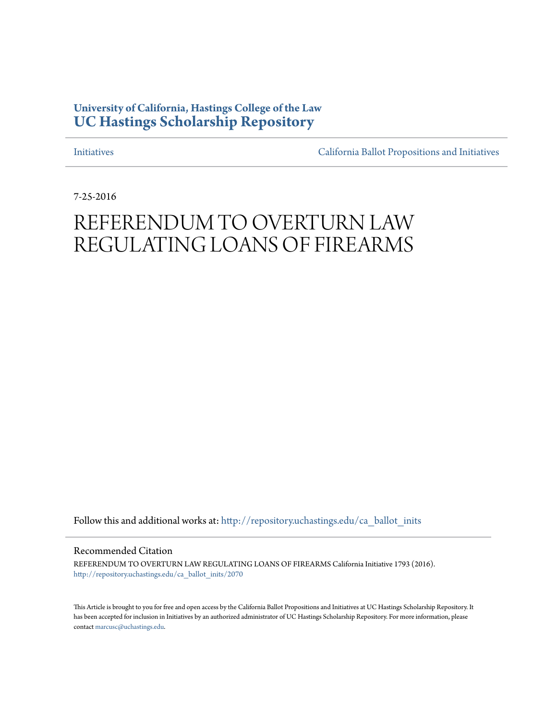## **University of California, Hastings College of the Law [UC Hastings Scholarship Repository](http://repository.uchastings.edu?utm_source=repository.uchastings.edu%2Fca_ballot_inits%2F2070&utm_medium=PDF&utm_campaign=PDFCoverPages)**

[Initiatives](http://repository.uchastings.edu/ca_ballot_inits?utm_source=repository.uchastings.edu%2Fca_ballot_inits%2F2070&utm_medium=PDF&utm_campaign=PDFCoverPages) [California Ballot Propositions and Initiatives](http://repository.uchastings.edu/ca_ballots?utm_source=repository.uchastings.edu%2Fca_ballot_inits%2F2070&utm_medium=PDF&utm_campaign=PDFCoverPages)

7-25-2016

# REFERENDUM TO OVERTURN LAW REGULATING LOANS OF FIREARMS

Follow this and additional works at: [http://repository.uchastings.edu/ca\\_ballot\\_inits](http://repository.uchastings.edu/ca_ballot_inits?utm_source=repository.uchastings.edu%2Fca_ballot_inits%2F2070&utm_medium=PDF&utm_campaign=PDFCoverPages)

Recommended Citation

REFERENDUM TO OVERTURN LAW REGULATING LOANS OF FIREARMS California Initiative 1793 (2016). [http://repository.uchastings.edu/ca\\_ballot\\_inits/2070](http://repository.uchastings.edu/ca_ballot_inits/2070?utm_source=repository.uchastings.edu%2Fca_ballot_inits%2F2070&utm_medium=PDF&utm_campaign=PDFCoverPages)

This Article is brought to you for free and open access by the California Ballot Propositions and Initiatives at UC Hastings Scholarship Repository. It has been accepted for inclusion in Initiatives by an authorized administrator of UC Hastings Scholarship Repository. For more information, please contact [marcusc@uchastings.edu](mailto:marcusc@uchastings.edu).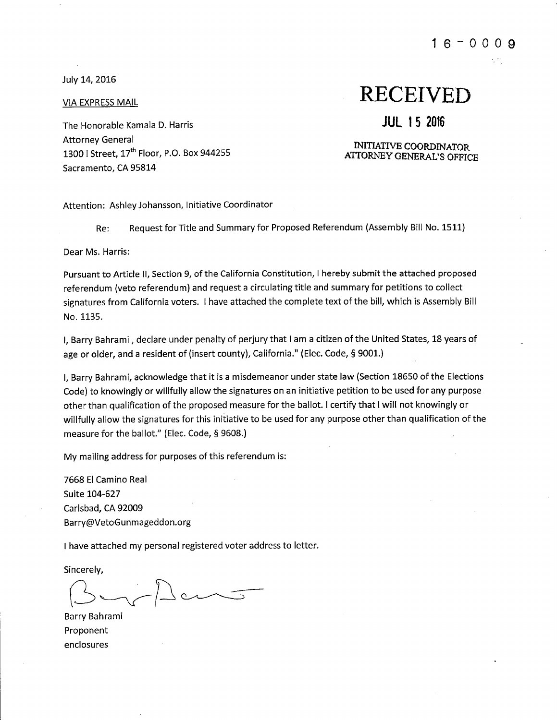July 14, 2016

**VIA EXPRESS MAIL** 

The Honorable Kamala D. Harris **Attorney General** 1300 | Street, 17<sup>th</sup> Floor, P.O. Box 944255 Sacramento, CA 95814

## **RECEIVED**

### **JUL 15 2016**

#### **INITIATIVE COORDINATOR** ATTORNEY GENERAL'S OFFICE

Attention: Ashley Johansson, Initiative Coordinator

Request for Title and Summary for Proposed Referendum (Assembly Bill No. 1511) Re:

Dear Ms. Harris:

Pursuant to Article II, Section 9, of the California Constitution, I hereby submit the attached proposed referendum (veto referendum) and request a circulating title and summary for petitions to collect signatures from California voters. I have attached the complete text of the bill, which is Assembly Bill No. 1135.

I, Barry Bahrami, declare under penalty of perjury that I am a citizen of the United States, 18 years of age or older, and a resident of (insert county), California." (Elec. Code, § 9001.)

I, Barry Bahrami, acknowledge that it is a misdemeanor under state law (Section 18650 of the Elections Code) to knowingly or willfully allow the signatures on an initiative petition to be used for any purpose other than qualification of the proposed measure for the ballot. I certify that I will not knowingly or willfully allow the signatures for this initiative to be used for any purpose other than qualification of the measure for the ballot." (Elec. Code, § 9608.)

My mailing address for purposes of this referendum is:

7668 El Camino Real Suite 104-627 Carlsbad, CA 92009 Barry@VetoGunmageddon.org

I have attached my personal registered voter address to letter.

Sincerely.

 $l$  cm  $\frac{1}{\sqrt{2}}$ 

Barry Bahrami Proponent enclosures

#### $16 - 0009$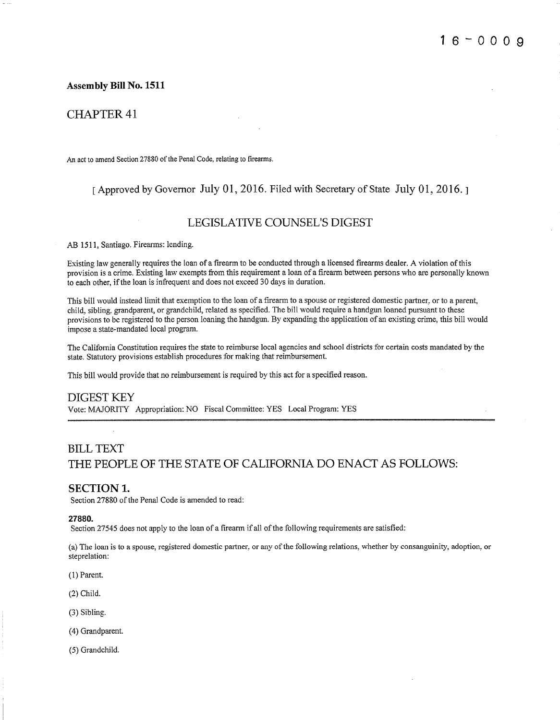#### **Assembly Bill No. 1511**

#### **CHAPTER 41**

An act to amend Section 27880 of the Penal Code, relating to firearms.

#### I Approved by Governor July 01, 2016. Filed with Secretary of State July 01, 2016. 1

#### LEGISLATIVE COUNSEL'S DIGEST

AB 1511, Santiago. Firearms: lending.

Existing law generally requires the loan of a firearm to be conducted through a licensed firearms dealer. A violation of this provision is a crime. Existing law exempts from this requirement a loan of a firearm between persons who are personally known to each other, if the loan is infrequent and does not exceed 30 days in duration.

This bill would instead limit that exemption to the loan of a firearm to a spouse or registered domestic partner, or to a parent, child, sibling, grandparent, or grandchild, related as specified. The bill would require a handgun loaned pursuant to these provisions to be registered to the person loaning the handgun. By expanding the application of an existing crime, this bill would impose a state-mandated local program.

The California Constitution requires the state to reimburse local agencies and school districts for certain costs mandated by the state. Statutory provisions establish procedures for making that reimbursement.

This bill would provide that no reimbursement is required by this act for a specified reason.

#### **DIGEST KEY**

Vote: MAJORITY Appropriation: NO Fiscal Committee: YES Local Program: YES

## **BILL TEXT** THE PEOPLE OF THE STATE OF CALIFORNIA DO ENACT AS FOLLOWS:

#### **SECTION 1.**

Section 27880 of the Penal Code is amended to read:

#### 27880.

Section 27545 does not apply to the loan of a firearm if all of the following requirements are satisfied:

(a) The loan is to a spouse, registered domestic partner, or any of the following relations, whether by consanguinity, adoption, or steprelation:

 $(1)$  Parent.

 $(2)$  Child.

- (3) Sibling.
- (4) Grandparent.
- (5) Grandchild.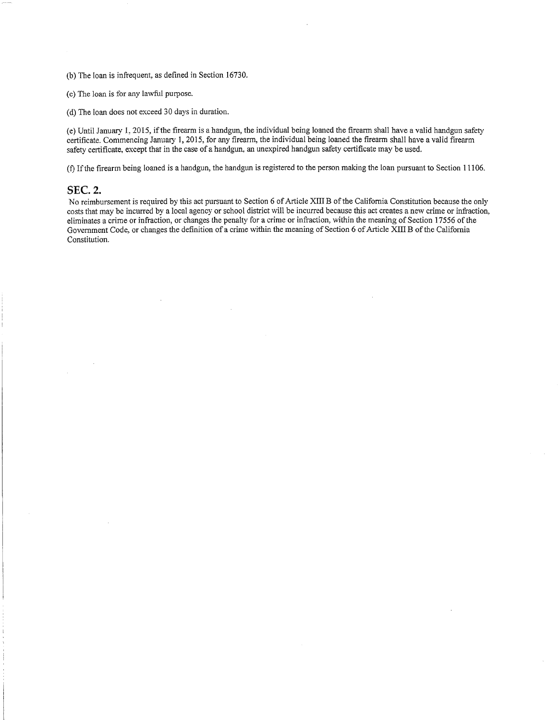(b) The loan is infrequent, as defined in Section 16730.

(c) The loan is for any lawful purpose.

(d) The loan does not exceed 30 days in duration.

(e) Until January 1, 2015, if the firearm is a handgun, the individual being loaned the firearm shall have a valid handgun safety certificate. Commencing January 1, 2015, for any firearm, the individual being loaned the firearm shall have a valid firearm safety certificate, except that in the case of a handgun, an unexpired handgun safety certificate may be used.

(f) If the firearm being loaned is a handgun, the handgun is registered to the person making the loan pursuant to Section 11106.

#### **SEC. 2.**

No reimbursement is required by this act pursuant to Section 6 of Article XIII B of the California Constitution because the only costs that may be incurred by a local agency or school district will be incurred because this act creates a new crime or infraction, eliminates a crime or infraction, or changes the penalty for a crime or infraction, within the meaning of Section 17556 of the Government Code, or changes the definition of a crime within the meaning of Section 6 of Article XIII B of the California Constitution.